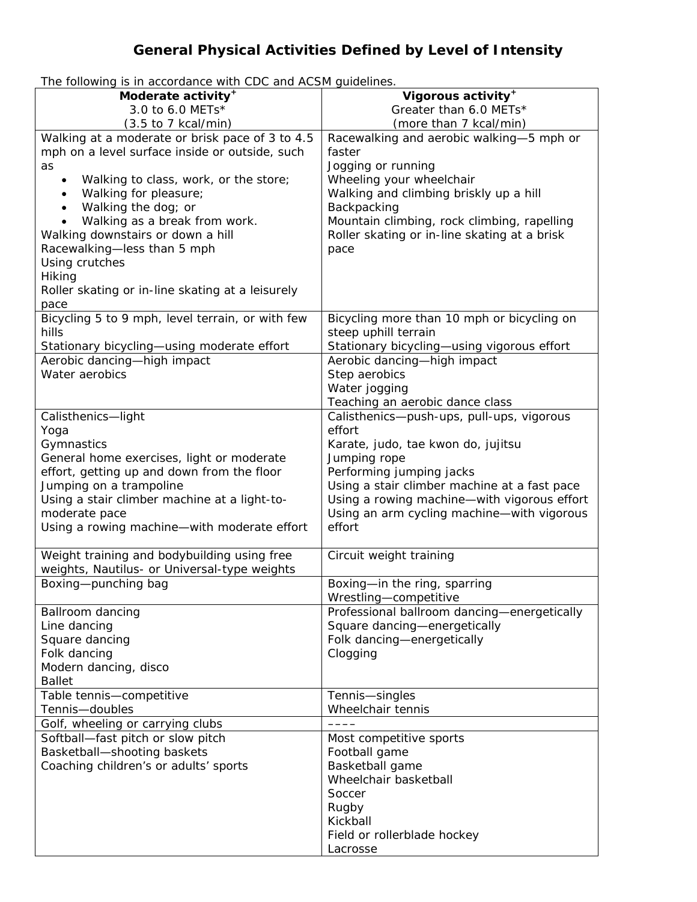## **General Physical Activities Defined by Level of Intensity**

The following is in accordance with CDC and ACSM guidelines.

| Moderate activity <sup>+</sup>                     | Vigorous activity <sup>+</sup>               |
|----------------------------------------------------|----------------------------------------------|
| 3.0 to 6.0 METs*                                   | Greater than 6.0 METs*                       |
| $(3.5 \text{ to } 7 \text{ kcal/min})$             | (more than 7 kcal/min)                       |
| Walking at a moderate or brisk pace of 3 to 4.5    |                                              |
|                                                    | Racewalking and aerobic walking-5 mph or     |
| mph on a level surface inside or outside, such     | faster                                       |
| as                                                 | Jogging or running                           |
| Walking to class, work, or the store;<br>$\bullet$ | Wheeling your wheelchair                     |
| Walking for pleasure;<br>$\bullet$                 | Walking and climbing briskly up a hill       |
| Walking the dog; or                                | Backpacking                                  |
| Walking as a break from work.                      | Mountain climbing, rock climbing, rapelling  |
| Walking downstairs or down a hill                  | Roller skating or in-line skating at a brisk |
| Racewalking-less than 5 mph                        | pace                                         |
| Using crutches                                     |                                              |
| Hiking                                             |                                              |
| Roller skating or in-line skating at a leisurely   |                                              |
| pace                                               |                                              |
| Bicycling 5 to 9 mph, level terrain, or with few   | Bicycling more than 10 mph or bicycling on   |
| hills                                              | steep uphill terrain                         |
| Stationary bicycling-using moderate effort         | Stationary bicycling-using vigorous effort   |
| Aerobic dancing-high impact                        | Aerobic dancing-high impact                  |
| Water aerobics                                     | Step aerobics                                |
|                                                    | Water jogging                                |
|                                                    | Teaching an aerobic dance class              |
|                                                    |                                              |
| Calisthenics-light                                 | Calisthenics-push-ups, pull-ups, vigorous    |
| Yoga                                               | effort                                       |
| Gymnastics                                         | Karate, judo, tae kwon do, jujitsu           |
| General home exercises, light or moderate          | Jumping rope                                 |
| effort, getting up and down from the floor         | Performing jumping jacks                     |
| Jumping on a trampoline                            | Using a stair climber machine at a fast pace |
| Using a stair climber machine at a light-to-       | Using a rowing machine-with vigorous effort  |
| moderate pace                                      | Using an arm cycling machine-with vigorous   |
| Using a rowing machine-with moderate effort        | effort                                       |
|                                                    |                                              |
| Weight training and bodybuilding using free        | Circuit weight training                      |
| weights, Nautilus- or Universal-type weights       |                                              |
| Boxing-punching bag                                | Boxing-in the ring, sparring                 |
|                                                    | Wrestling-competitive                        |
| Ballroom dancing                                   | Professional ballroom dancing-energetically  |
| Line dancing                                       | Square dancing-energetically                 |
| Square dancing                                     | Folk dancing-energetically                   |
| Folk dancing                                       | Clogging                                     |
| Modern dancing, disco                              |                                              |
| <b>Ballet</b>                                      |                                              |
| Table tennis-competitive                           | Tennis-singles                               |
| Tennis-doubles                                     | Wheelchair tennis                            |
| Golf, wheeling or carrying clubs                   |                                              |
|                                                    |                                              |
| Softball-fast pitch or slow pitch                  | Most competitive sports                      |
| Basketball-shooting baskets                        | Football game                                |
| Coaching children's or adults' sports              | Basketball game                              |
|                                                    | Wheelchair basketball                        |
|                                                    | Soccer                                       |
|                                                    | Rugby                                        |
|                                                    | Kickball                                     |
|                                                    | Field or rollerblade hockey                  |
|                                                    | Lacrosse                                     |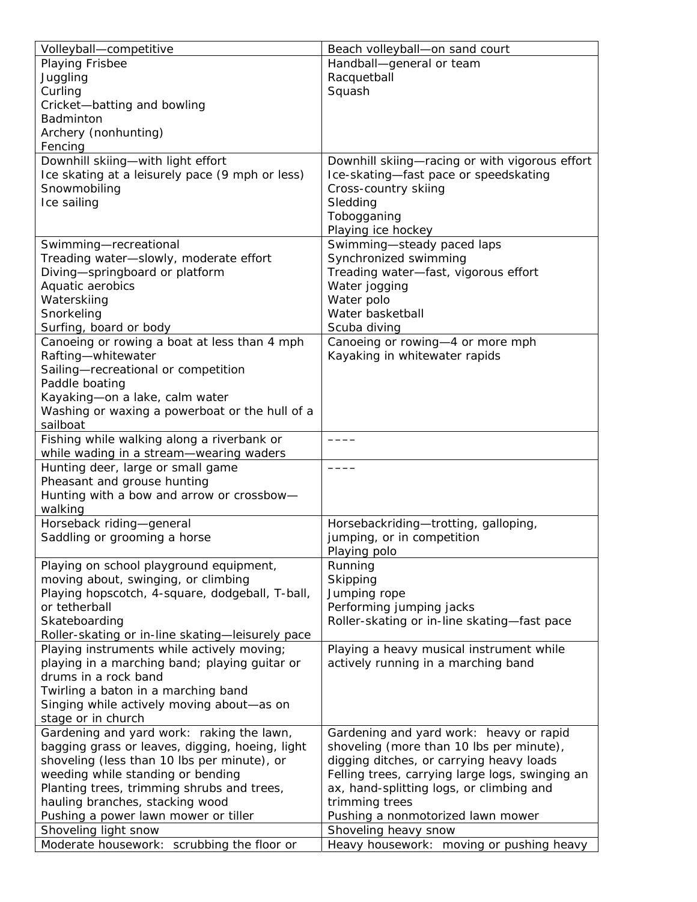| Volleyball-competitive                                             | Beach volleyball-on sand court                                   |
|--------------------------------------------------------------------|------------------------------------------------------------------|
| Playing Frisbee                                                    | Handball-general or team                                         |
| Juggling                                                           | Racquetball                                                      |
| Curling                                                            | Squash                                                           |
| Cricket-batting and bowling                                        |                                                                  |
| Badminton                                                          |                                                                  |
| Archery (nonhunting)                                               |                                                                  |
| Fencing                                                            |                                                                  |
| Downhill skiing-with light effort                                  | Downhill skiing-racing or with vigorous effort                   |
| Ice skating at a leisurely pace (9 mph or less)                    | Ice-skating-fast pace or speedskating                            |
| Snowmobiling                                                       | Cross-country skiing                                             |
| Ice sailing                                                        | Sledding                                                         |
|                                                                    | Tobogganing                                                      |
|                                                                    |                                                                  |
|                                                                    | Playing ice hockey                                               |
| Swimming-recreational                                              | Swimming-steady paced laps                                       |
| Treading water-slowly, moderate effort                             | Synchronized swimming                                            |
| Diving-springboard or platform                                     | Treading water-fast, vigorous effort                             |
| Aquatic aerobics                                                   | Water jogging                                                    |
| Waterskiing                                                        | Water polo                                                       |
| Snorkeling                                                         | Water basketball                                                 |
| Surfing, board or body                                             | Scuba diving                                                     |
| Canoeing or rowing a boat at less than 4 mph                       | Canoeing or rowing-4 or more mph                                 |
| Rafting-whitewater                                                 | Kayaking in whitewater rapids                                    |
| Sailing-recreational or competition                                |                                                                  |
| Paddle boating                                                     |                                                                  |
| Kayaking-on a lake, calm water                                     |                                                                  |
| Washing or waxing a powerboat or the hull of a                     |                                                                  |
| sailboat                                                           |                                                                  |
| Fishing while walking along a riverbank or                         |                                                                  |
| while wading in a stream-wearing waders                            |                                                                  |
| Hunting deer, large or small game                                  |                                                                  |
| Pheasant and grouse hunting                                        |                                                                  |
| Hunting with a bow and arrow or crossbow-                          |                                                                  |
| walking                                                            |                                                                  |
| Horseback riding-general                                           | Horsebackriding-trotting, galloping,                             |
| Saddling or grooming a horse                                       | jumping, or in competition                                       |
|                                                                    | Playing polo                                                     |
| Playing on school playground equipment,                            | Running                                                          |
| moving about, swinging, or climbing                                | Skipping                                                         |
| Playing hopscotch, 4-square, dodgeball, T-ball,                    | Jumping rope                                                     |
| or tetherball                                                      | Performing jumping jacks                                         |
| Skateboarding                                                      | Roller-skating or in-line skating-fast pace                      |
| Roller-skating or in-line skating-leisurely pace                   |                                                                  |
| Playing instruments while actively moving;                         | Playing a heavy musical instrument while                         |
| playing in a marching band; playing guitar or                      | actively running in a marching band                              |
| drums in a rock band                                               |                                                                  |
| Twirling a baton in a marching band                                |                                                                  |
| Singing while actively moving about-as on                          |                                                                  |
| stage or in church                                                 |                                                                  |
| Gardening and yard work: raking the lawn,                          | Gardening and yard work: heavy or rapid                          |
| bagging grass or leaves, digging, hoeing, light                    | shoveling (more than 10 lbs per minute),                         |
| shoveling (less than 10 lbs per minute), or                        | digging ditches, or carrying heavy loads                         |
| weeding while standing or bending                                  | Felling trees, carrying large logs, swinging an                  |
| Planting trees, trimming shrubs and trees,                         | ax, hand-splitting logs, or climbing and                         |
|                                                                    | trimming trees                                                   |
| hauling branches, stacking wood                                    |                                                                  |
| Pushing a power lawn mower or tiller                               | Pushing a nonmotorized lawn mower                                |
| Shoveling light snow<br>Moderate housework: scrubbing the floor or | Shoveling heavy snow<br>Heavy housework: moving or pushing heavy |
|                                                                    |                                                                  |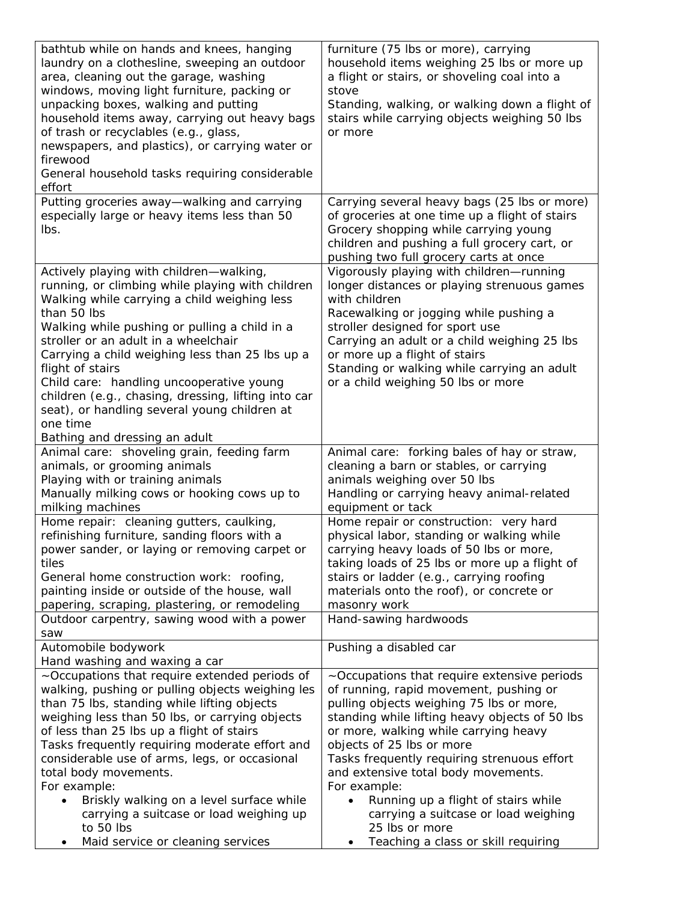| bathtub while on hands and knees, hanging<br>laundry on a clothesline, sweeping an outdoor<br>area, cleaning out the garage, washing<br>windows, moving light furniture, packing or<br>unpacking boxes, walking and putting<br>household items away, carrying out heavy bags<br>of trash or recyclables (e.g., glass,<br>newspapers, and plastics), or carrying water or<br>firewood<br>General household tasks requiring considerable<br>effort                                                                                     | furniture (75 lbs or more), carrying<br>household items weighing 25 lbs or more up<br>a flight or stairs, or shoveling coal into a<br>stove<br>Standing, walking, or walking down a flight of<br>stairs while carrying objects weighing 50 lbs<br>or more                                                                                                                                                                                                                                               |
|--------------------------------------------------------------------------------------------------------------------------------------------------------------------------------------------------------------------------------------------------------------------------------------------------------------------------------------------------------------------------------------------------------------------------------------------------------------------------------------------------------------------------------------|---------------------------------------------------------------------------------------------------------------------------------------------------------------------------------------------------------------------------------------------------------------------------------------------------------------------------------------------------------------------------------------------------------------------------------------------------------------------------------------------------------|
| Putting groceries away—walking and carrying<br>especially large or heavy items less than 50<br>lbs.                                                                                                                                                                                                                                                                                                                                                                                                                                  | Carrying several heavy bags (25 lbs or more)<br>of groceries at one time up a flight of stairs<br>Grocery shopping while carrying young<br>children and pushing a full grocery cart, or<br>pushing two full grocery carts at once                                                                                                                                                                                                                                                                       |
| Actively playing with children-walking,<br>running, or climbing while playing with children<br>Walking while carrying a child weighing less<br>than 50 lbs<br>Walking while pushing or pulling a child in a<br>stroller or an adult in a wheelchair<br>Carrying a child weighing less than 25 lbs up a<br>flight of stairs<br>Child care: handling uncooperative young<br>children (e.g., chasing, dressing, lifting into car<br>seat), or handling several young children at<br>one time<br>Bathing and dressing an adult           | Vigorously playing with children-running<br>longer distances or playing strenuous games<br>with children<br>Racewalking or jogging while pushing a<br>stroller designed for sport use<br>Carrying an adult or a child weighing 25 lbs<br>or more up a flight of stairs<br>Standing or walking while carrying an adult<br>or a child weighing 50 lbs or more                                                                                                                                             |
| Animal care: shoveling grain, feeding farm<br>animals, or grooming animals<br>Playing with or training animals<br>Manually milking cows or hooking cows up to<br>milking machines                                                                                                                                                                                                                                                                                                                                                    | Animal care: forking bales of hay or straw,<br>cleaning a barn or stables, or carrying<br>animals weighing over 50 lbs<br>Handling or carrying heavy animal-related<br>equipment or tack                                                                                                                                                                                                                                                                                                                |
| Home repair: cleaning gutters, caulking,<br>refinishing furniture, sanding floors with a<br>power sander, or laying or removing carpet or<br>tiles<br>General home construction work: roofing,<br>painting inside or outside of the house, wall<br>papering, scraping, plastering, or remodeling                                                                                                                                                                                                                                     | Home repair or construction: very hard<br>physical labor, standing or walking while<br>carrying heavy loads of 50 lbs or more,<br>taking loads of 25 lbs or more up a flight of<br>stairs or ladder (e.g., carrying roofing<br>materials onto the roof), or concrete or<br>masonry work                                                                                                                                                                                                                 |
| Outdoor carpentry, sawing wood with a power<br>saw<br>Automobile bodywork                                                                                                                                                                                                                                                                                                                                                                                                                                                            | Hand-sawing hardwoods<br>Pushing a disabled car                                                                                                                                                                                                                                                                                                                                                                                                                                                         |
| Hand washing and waxing a car                                                                                                                                                                                                                                                                                                                                                                                                                                                                                                        |                                                                                                                                                                                                                                                                                                                                                                                                                                                                                                         |
| ~Occupations that require extended periods of<br>walking, pushing or pulling objects weighing les<br>than 75 lbs, standing while lifting objects<br>weighing less than 50 lbs, or carrying objects<br>of less than 25 lbs up a flight of stairs<br>Tasks frequently requiring moderate effort and<br>considerable use of arms, legs, or occasional<br>total body movements.<br>For example:<br>Briskly walking on a level surface while<br>carrying a suitcase or load weighing up<br>to 50 lbs<br>Maid service or cleaning services | ~Occupations that require extensive periods<br>of running, rapid movement, pushing or<br>pulling objects weighing 75 lbs or more,<br>standing while lifting heavy objects of 50 lbs<br>or more, walking while carrying heavy<br>objects of 25 lbs or more<br>Tasks frequently requiring strenuous effort<br>and extensive total body movements.<br>For example:<br>Running up a flight of stairs while<br>carrying a suitcase or load weighing<br>25 lbs or more<br>Teaching a class or skill requiring |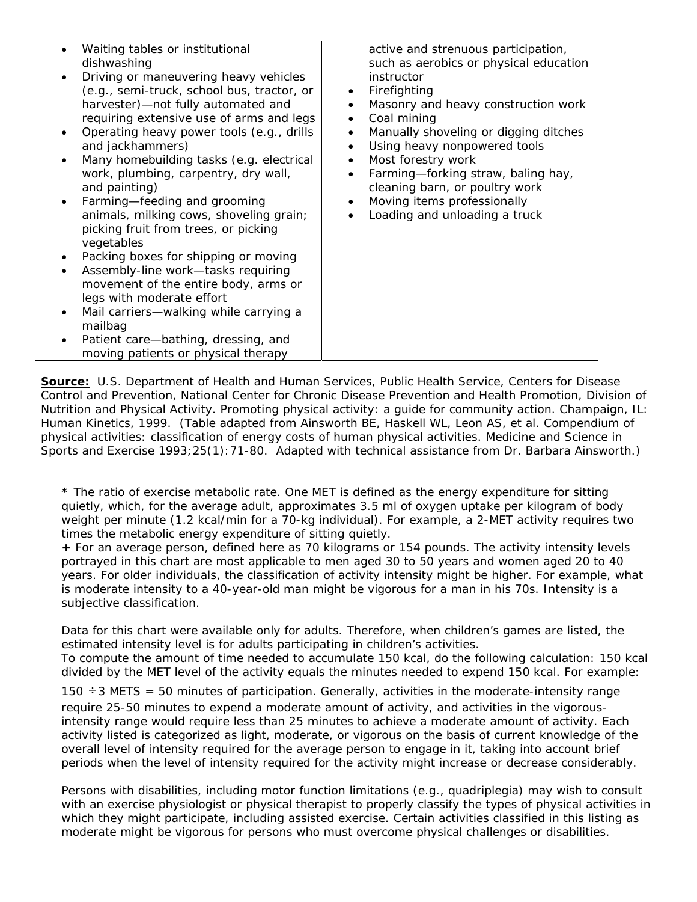| $\bullet$<br>$\bullet$ | Waiting tables or institutional<br>dishwashing<br>Driving or maneuvering heavy vehicles<br>(e.g., semi-truck, school bus, tractor, or<br>harvester)-not fully automated and<br>requiring extensive use of arms and legs<br>Operating heavy power tools (e.g., drills<br>and jackhammers)<br>Many homebuilding tasks (e.g. electrical<br>work, plumbing, carpentry, dry wall,<br>and painting)<br>Farming-feeding and grooming<br>animals, milking cows, shoveling grain;<br>picking fruit from trees, or picking<br>vegetables<br>Packing boxes for shipping or moving | active and strenuous participation,<br>such as aerobics or physical education<br>instructor<br>Firefighting<br>$\bullet$<br>Masonry and heavy construction work<br>Coal mining<br>$\bullet$<br>Manually shoveling or digging ditches<br>Using heavy nonpowered tools<br>$\bullet$<br>Most forestry work<br>$\bullet$<br>Farming-forking straw, baling hay,<br>$\bullet$<br>cleaning barn, or poultry work<br>Moving items professionally<br>$\bullet$<br>Loading and unloading a truck |
|------------------------|------------------------------------------------------------------------------------------------------------------------------------------------------------------------------------------------------------------------------------------------------------------------------------------------------------------------------------------------------------------------------------------------------------------------------------------------------------------------------------------------------------------------------------------------------------------------|----------------------------------------------------------------------------------------------------------------------------------------------------------------------------------------------------------------------------------------------------------------------------------------------------------------------------------------------------------------------------------------------------------------------------------------------------------------------------------------|
|                        |                                                                                                                                                                                                                                                                                                                                                                                                                                                                                                                                                                        |                                                                                                                                                                                                                                                                                                                                                                                                                                                                                        |
|                        |                                                                                                                                                                                                                                                                                                                                                                                                                                                                                                                                                                        |                                                                                                                                                                                                                                                                                                                                                                                                                                                                                        |
|                        |                                                                                                                                                                                                                                                                                                                                                                                                                                                                                                                                                                        |                                                                                                                                                                                                                                                                                                                                                                                                                                                                                        |
|                        | Assembly-line work-tasks requiring                                                                                                                                                                                                                                                                                                                                                                                                                                                                                                                                     |                                                                                                                                                                                                                                                                                                                                                                                                                                                                                        |
|                        | movement of the entire body, arms or                                                                                                                                                                                                                                                                                                                                                                                                                                                                                                                                   |                                                                                                                                                                                                                                                                                                                                                                                                                                                                                        |
|                        | legs with moderate effort                                                                                                                                                                                                                                                                                                                                                                                                                                                                                                                                              |                                                                                                                                                                                                                                                                                                                                                                                                                                                                                        |
| ٠                      | Mail carriers—walking while carrying a<br>mailbag                                                                                                                                                                                                                                                                                                                                                                                                                                                                                                                      |                                                                                                                                                                                                                                                                                                                                                                                                                                                                                        |
| $\bullet$              | Patient care-bathing, dressing, and<br>moving patients or physical therapy                                                                                                                                                                                                                                                                                                                                                                                                                                                                                             |                                                                                                                                                                                                                                                                                                                                                                                                                                                                                        |

**Source:** U.S. Department of Health and Human Services, Public Health Service, Centers for Disease Control and Prevention, National Center for Chronic Disease Prevention and Health Promotion, Division of Nutrition and Physical Activity. *Promoting physical activity: a guide for community action*. Champaign, IL: Human Kinetics, 1999. (Table adapted from Ainsworth BE, Haskell WL, Leon AS, et al. Compendium of physical activities: classification of energy costs of human physical activities. *Medicine and Science in Sports and Exercise* 1993;25(1):71-80. Adapted with technical assistance from Dr. Barbara Ainsworth.)

**\*** The ratio of exercise metabolic rate. One MET is defined as the energy expenditure for sitting quietly, which, for the average adult, approximates 3.5 ml of oxygen uptake per kilogram of body weight per minute (1.2 kcal/min for a 70-kg individual). For example, a 2-MET activity requires two times the metabolic energy expenditure of sitting quietly.

**+** For an average person, defined here as 70 kilograms or 154 pounds. The activity intensity levels portrayed in this chart are most applicable to men aged 30 to 50 years and women aged 20 to 40 years. For older individuals, the classification of activity intensity might be higher. For example, what is moderate intensity to a 40-year-old man might be vigorous for a man in his 70s. Intensity is a subjective classification.

Data for this chart were available only for adults. Therefore, when children's games are listed, the estimated intensity level is for adults participating in children's activities.

To compute the amount of time needed to accumulate 150 kcal, do the following calculation: 150 kcal divided by the MET level of the activity equals the minutes needed to expend 150 kcal. For example:

150  $\div$ 3 METS = 50 minutes of participation. Generally, activities in the moderate-intensity range require 25-50 minutes to expend a moderate amount of activity, and activities in the vigorousintensity range would require less than 25 minutes to achieve a moderate amount of activity. Each activity listed is categorized as light, moderate, or vigorous on the basis of current knowledge of the overall level of intensity required for the average person to engage in it, taking into account brief periods when the level of intensity required for the activity might increase or decrease considerably.

Persons with disabilities, including motor function limitations (e.g., quadriplegia) may wish to consult with an exercise physiologist or physical therapist to properly classify the types of physical activities in which they might participate, including assisted exercise. Certain activities classified in this listing as moderate might be vigorous for persons who must overcome physical challenges or disabilities.